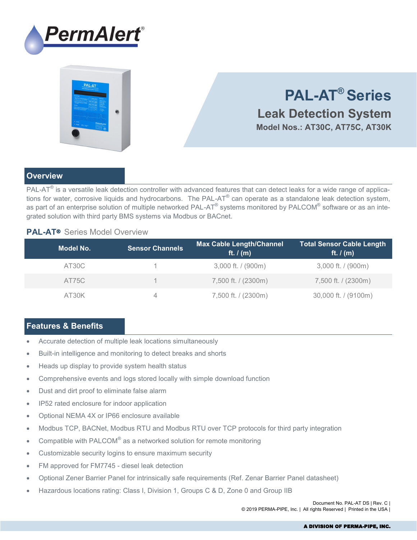



# **PAL-AT® Series Leak Detection System Model Nos.: AT30C, AT75C, AT30K**

## **Overview**

PAL-AT® is a versatile leak detection controller with advanced features that can detect leaks for a wide range of applications for water, corrosive liquids and hydrocarbons. The PAL-AT® can operate as a standalone leak detection system, as part of an enterprise solution of multiple networked PAL-AT® systems monitored by PALCOM® software or as an integrated solution with third party BMS systems via Modbus or BACnet.

## **PAL-AT**® Series Model Overview

| Model No. | <b>Sensor Channels</b> | <b>Max Cable Length/Channel</b><br>ft. $I(m)$ | Total Sensor Cable Length<br>ft. $I(m)$ |
|-----------|------------------------|-----------------------------------------------|-----------------------------------------|
| AT30C     |                        | $3,000$ ft. / (900m)                          | 3,000 ft. / (900m)                      |
| AT75C     |                        | 7,500 ft. / (2300m)                           | 7,500 ft. / (2300m)                     |
| AT30K     | 4                      | 7,500 ft. / (2300m)                           | 30,000 ft. / (9100m)                    |

## **Features & Benefits**

- Accurate detection of multiple leak locations simultaneously
- Built-in intelligence and monitoring to detect breaks and shorts
- Heads up display to provide system health status
- Comprehensive events and logs stored locally with simple download function
- Dust and dirt proof to eliminate false alarm
- IP52 rated enclosure for indoor application
- Optional NEMA 4X or IP66 enclosure available
- Modbus TCP, BACNet, Modbus RTU and Modbus RTU over TCP protocols for third party integration
- Compatible with PALCOM® as a networked solution for remote monitoring
- Customizable security logins to ensure maximum security
- FM approved for FM7745 diesel leak detection
- Optional Zener Barrier Panel for intrinsically safe requirements (Ref. Zenar Barrier Panel datasheet)
- Hazardous locations rating: Class I, Division 1, Groups C & D, Zone 0 and Group IIB

Document No. PAL-AT DS | Rev. C | © 2019 PERMA-PIPE, Inc. | All rights Reserved | Printed in the USA |